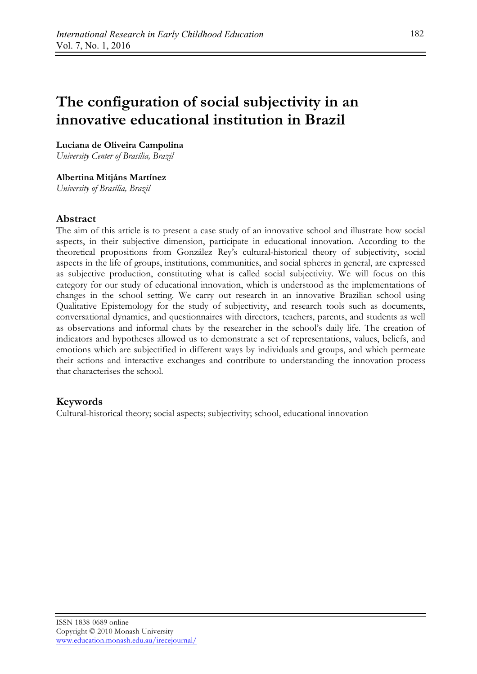# **The configuration of social subjectivity in an innovative educational institution in Brazil**

**Luciana de Oliveira Campolina** 

*University Center of Brasília, Brazil*

#### **Albertina Mitjáns Martínez**

*University of Brasília, Brazil*

# **Abstract**

The aim of this article is to present a case study of an innovative school and illustrate how social aspects, in their subjective dimension, participate in educational innovation. According to the theoretical propositions from González Rey's cultural-historical theory of subjectivity, social aspects in the life of groups, institutions, communities, and social spheres in general, are expressed as subjective production, constituting what is called social subjectivity. We will focus on this category for our study of educational innovation, which is understood as the implementations of changes in the school setting. We carry out research in an innovative Brazilian school using Qualitative Epistemology for the study of subjectivity, and research tools such as documents, conversational dynamics, and questionnaires with directors, teachers, parents, and students as well as observations and informal chats by the researcher in the school's daily life. The creation of indicators and hypotheses allowed us to demonstrate a set of representations, values, beliefs, and emotions which are subjectified in different ways by individuals and groups, and which permeate their actions and interactive exchanges and contribute to understanding the innovation process that characterises the school.

# **Keywords**

Cultural-historical theory; social aspects; subjectivity; school, educational innovation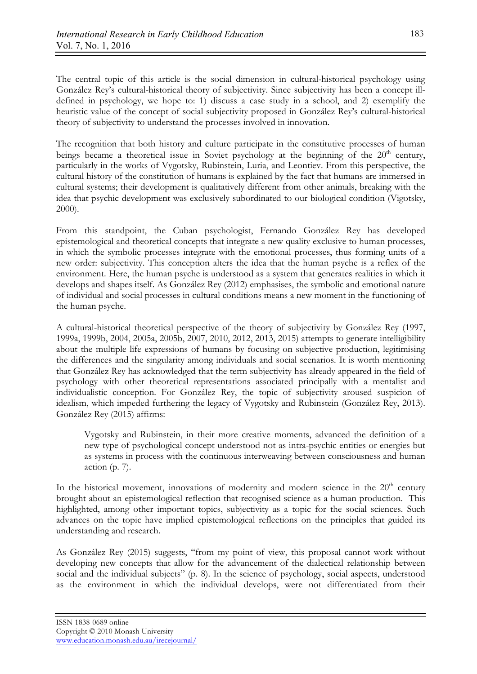The central topic of this article is the social dimension in cultural-historical psychology using González Rey's cultural-historical theory of subjectivity. Since subjectivity has been a concept illdefined in psychology, we hope to: 1) discuss a case study in a school, and 2) exemplify the heuristic value of the concept of social subjectivity proposed in González Rey's cultural-historical theory of subjectivity to understand the processes involved in innovation.

The recognition that both history and culture participate in the constitutive processes of human beings became a theoretical issue in Soviet psychology at the beginning of the  $20<sup>th</sup>$  century, particularly in the works of Vygotsky, Rubinstein, Luria, and Leontiev. From this perspective, the cultural history of the constitution of humans is explained by the fact that humans are immersed in cultural systems; their development is qualitatively different from other animals, breaking with the idea that psychic development was exclusively subordinated to our biological condition (Vigotsky, 2000).

From this standpoint, the Cuban psychologist, Fernando González Rey has developed epistemological and theoretical concepts that integrate a new quality exclusive to human processes, in which the symbolic processes integrate with the emotional processes, thus forming units of a new order: subjectivity. This conception alters the idea that the human psyche is a reflex of the environment. Here, the human psyche is understood as a system that generates realities in which it develops and shapes itself. As González Rey (2012) emphasises, the symbolic and emotional nature of individual and social processes in cultural conditions means a new moment in the functioning of the human psyche.

A cultural-historical theoretical perspective of the theory of subjectivity by González Rey (1997, 1999a, 1999b, 2004, 2005a, 2005b, 2007, 2010, 2012, 2013, 2015) attempts to generate intelligibility about the multiple life expressions of humans by focusing on subjective production, legitimising the differences and the singularity among individuals and social scenarios. It is worth mentioning that González Rey has acknowledged that the term subjectivity has already appeared in the field of psychology with other theoretical representations associated principally with a mentalist and individualistic conception. For González Rey, the topic of subjectivity aroused suspicion of idealism, which impeded furthering the legacy of Vygotsky and Rubinstein (González Rey, 2013). González Rey (2015) affirms:

Vygotsky and Rubinstein, in their more creative moments, advanced the definition of a new type of psychological concept understood not as intra-psychic entities or energies but as systems in process with the continuous interweaving between consciousness and human action (p. 7).

In the historical movement, innovations of modernity and modern science in the  $20<sup>th</sup>$  century brought about an epistemological reflection that recognised science as a human production. This highlighted, among other important topics, subjectivity as a topic for the social sciences. Such advances on the topic have implied epistemological reflections on the principles that guided its understanding and research.

As González Rey (2015) suggests, "from my point of view, this proposal cannot work without developing new concepts that allow for the advancement of the dialectical relationship between social and the individual subjects" (p. 8). In the science of psychology, social aspects, understood as the environment in which the individual develops, were not differentiated from their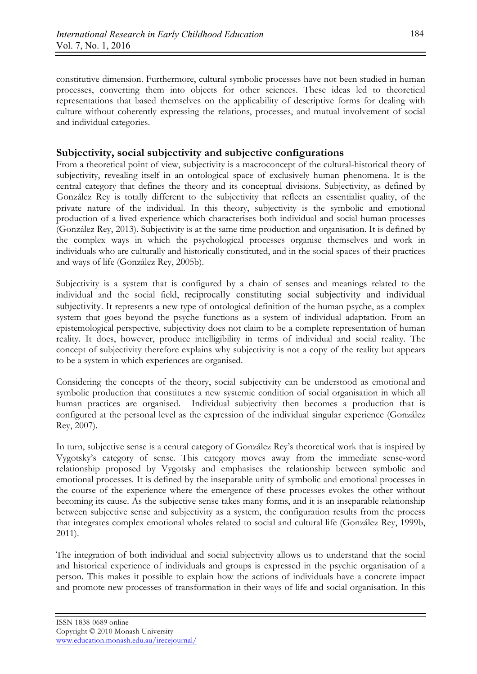constitutive dimension. Furthermore, cultural symbolic processes have not been studied in human processes, converting them into objects for other sciences. These ideas led to theoretical representations that based themselves on the applicability of descriptive forms for dealing with culture without coherently expressing the relations, processes, and mutual involvement of social and individual categories.

# **Subjectivity, social subjectivity and subjective configurations**

From a theoretical point of view, subjectivity is a macroconcept of the cultural-historical theory of subjectivity, revealing itself in an ontological space of exclusively human phenomena. It is the central category that defines the theory and its conceptual divisions. Subjectivity, as defined by González Rey is totally different to the subjectivity that reflects an essentialist quality, of the private nature of the individual. In this theory, subjectivity is the symbolic and emotional production of a lived experience which characterises both individual and social human processes (González Rey, 2013). Subjectivity is at the same time production and organisation. It is defined by the complex ways in which the psychological processes organise themselves and work in individuals who are culturally and historically constituted, and in the social spaces of their practices and ways of life (González Rey, 2005b).

Subjectivity is a system that is configured by a chain of senses and meanings related to the individual and the social field, reciprocally constituting social subjectivity and individual subjectivity. It represents a new type of ontological definition of the human psyche, as a complex system that goes beyond the psyche functions as a system of individual adaptation. From an epistemological perspective, subjectivity does not claim to be a complete representation of human reality. It does, however, produce intelligibility in terms of individual and social reality. The concept of subjectivity therefore explains why subjectivity is not a copy of the reality but appears to be a system in which experiences are organised.

Considering the concepts of the theory, social subjectivity can be understood as emotional and symbolic production that constitutes a new systemic condition of social organisation in which all human practices are organised. Individual subjectivity then becomes a production that is configured at the personal level as the expression of the individual singular experience (González Rey, 2007).

In turn, subjective sense is a central category of González Rey's theoretical work that is inspired by Vygotsky's category of sense. This category moves away from the immediate sense-word relationship proposed by Vygotsky and emphasises the relationship between symbolic and emotional processes. It is defined by the inseparable unity of symbolic and emotional processes in the course of the experience where the emergence of these processes evokes the other without becoming its cause. As the subjective sense takes many forms, and it is an inseparable relationship between subjective sense and subjectivity as a system, the configuration results from the process that integrates complex emotional wholes related to social and cultural life (González Rey, 1999b, 2011).

The integration of both individual and social subjectivity allows us to understand that the social and historical experience of individuals and groups is expressed in the psychic organisation of a person. This makes it possible to explain how the actions of individuals have a concrete impact and promote new processes of transformation in their ways of life and social organisation. In this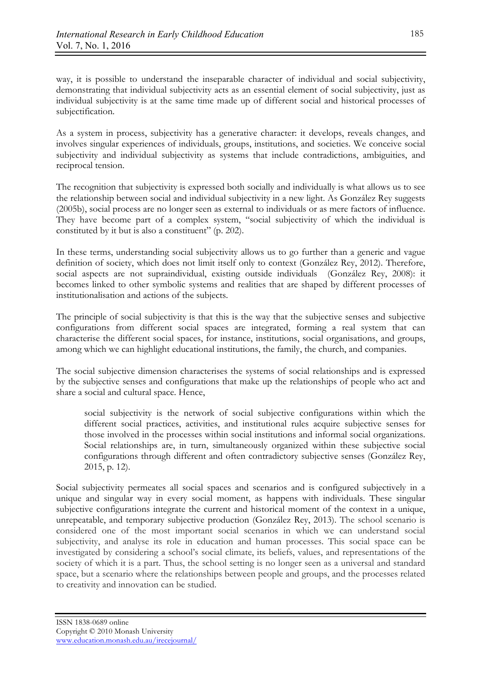way, it is possible to understand the inseparable character of individual and social subjectivity, demonstrating that individual subjectivity acts as an essential element of social subjectivity, just as individual subjectivity is at the same time made up of different social and historical processes of subjectification.

As a system in process, subjectivity has a generative character: it develops, reveals changes, and involves singular experiences of individuals, groups, institutions, and societies. We conceive social subjectivity and individual subjectivity as systems that include contradictions, ambiguities, and reciprocal tension.

The recognition that subjectivity is expressed both socially and individually is what allows us to see the relationship between social and individual subjectivity in a new light. As González Rey suggests (2005b), social process are no longer seen as external to individuals or as mere factors of influence. They have become part of a complex system, "social subjectivity of which the individual is constituted by it but is also a constituent" (p. 202).

In these terms, understanding social subjectivity allows us to go further than a generic and vague definition of society, which does not limit itself only to context (González Rey, 2012). Therefore, social aspects are not supraindividual, existing outside individuals (González Rey, 2008): it becomes linked to other symbolic systems and realities that are shaped by different processes of institutionalisation and actions of the subjects.

The principle of social subjectivity is that this is the way that the subjective senses and subjective configurations from different social spaces are integrated, forming a real system that can characterise the different social spaces, for instance, institutions, social organisations, and groups, among which we can highlight educational institutions, the family, the church, and companies.

The social subjective dimension characterises the systems of social relationships and is expressed by the subjective senses and configurations that make up the relationships of people who act and share a social and cultural space. Hence,

social subjectivity is the network of social subjective configurations within which the different social practices, activities, and institutional rules acquire subjective senses for those involved in the processes within social institutions and informal social organizations. Social relationships are, in turn, simultaneously organized within these subjective social configurations through different and often contradictory subjective senses (González Rey, 2015, p. 12).

Social subjectivity permeates all social spaces and scenarios and is configured subjectively in a unique and singular way in every social moment, as happens with individuals. These singular subjective configurations integrate the current and historical moment of the context in a unique, unrepeatable, and temporary subjective production (González Rey, 2013). The school scenario is considered one of the most important social scenarios in which we can understand social subjectivity, and analyse its role in education and human processes. This social space can be investigated by considering a school's social climate, its beliefs, values, and representations of the society of which it is a part. Thus, the school setting is no longer seen as a universal and standard space, but a scenario where the relationships between people and groups, and the processes related to creativity and innovation can be studied.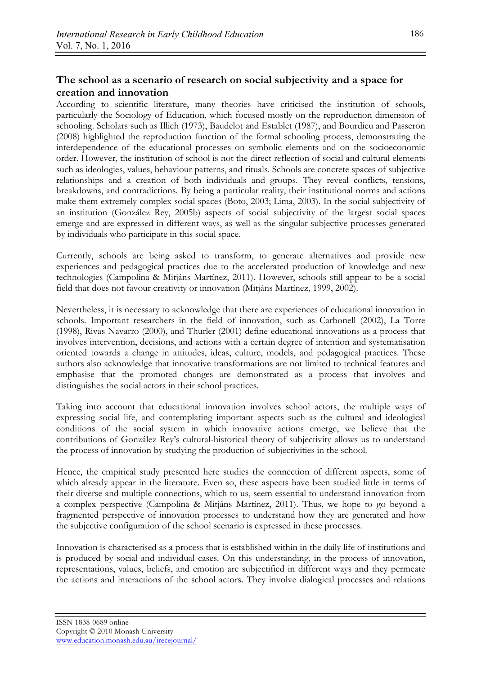# **The school as a scenario of research on social subjectivity and a space for creation and innovation**

According to scientific literature, many theories have criticised the institution of schools, particularly the Sociology of Education, which focused mostly on the reproduction dimension of schooling. Scholars such as Illich (1973), Baudelot and Establet (1987), and Bourdieu and Passeron (2008) highlighted the reproduction function of the formal schooling process, demonstrating the interdependence of the educational processes on symbolic elements and on the socioeconomic order. However, the institution of school is not the direct reflection of social and cultural elements such as ideologies, values, behaviour patterns, and rituals. Schools are concrete spaces of subjective relationships and a creation of both individuals and groups. They reveal conflicts, tensions, breakdowns, and contradictions. By being a particular reality, their institutional norms and actions make them extremely complex social spaces (Boto, 2003; Lima, 2003). In the social subjectivity of an institution (González Rey, 2005b) aspects of social subjectivity of the largest social spaces emerge and are expressed in different ways, as well as the singular subjective processes generated by individuals who participate in this social space.

Currently, schools are being asked to transform, to generate alternatives and provide new experiences and pedagogical practices due to the accelerated production of knowledge and new technologies (Campolina & Mitjáns Martínez, 2011). However, schools still appear to be a social field that does not favour creativity or innovation (Mitjáns Martínez, 1999, 2002).

Nevertheless, it is necessary to acknowledge that there are experiences of educational innovation in schools. Important researchers in the field of innovation, such as Carbonell (2002), La Torre (1998), Rivas Navarro (2000), and Thurler (2001) define educational innovations as a process that involves intervention, decisions, and actions with a certain degree of intention and systematisation oriented towards a change in attitudes, ideas, culture, models, and pedagogical practices. These authors also acknowledge that innovative transformations are not limited to technical features and emphasise that the promoted changes are demonstrated as a process that involves and distinguishes the social actors in their school practices.

Taking into account that educational innovation involves school actors, the multiple ways of expressing social life, and contemplating important aspects such as the cultural and ideological conditions of the social system in which innovative actions emerge, we believe that the contributions of González Rey's cultural-historical theory of subjectivity allows us to understand the process of innovation by studying the production of subjectivities in the school.

Hence, the empirical study presented here studies the connection of different aspects, some of which already appear in the literature. Even so, these aspects have been studied little in terms of their diverse and multiple connections, which to us, seem essential to understand innovation from a complex perspective (Campolina & Mitjáns Martínez, 2011). Thus, we hope to go beyond a fragmented perspective of innovation processes to understand how they are generated and how the subjective configuration of the school scenario is expressed in these processes.

Innovation is characterised as a process that is established within in the daily life of institutions and is produced by social and individual cases. On this understanding, in the process of innovation, representations, values, beliefs, and emotion are subjectified in different ways and they permeate the actions and interactions of the school actors. They involve dialogical processes and relations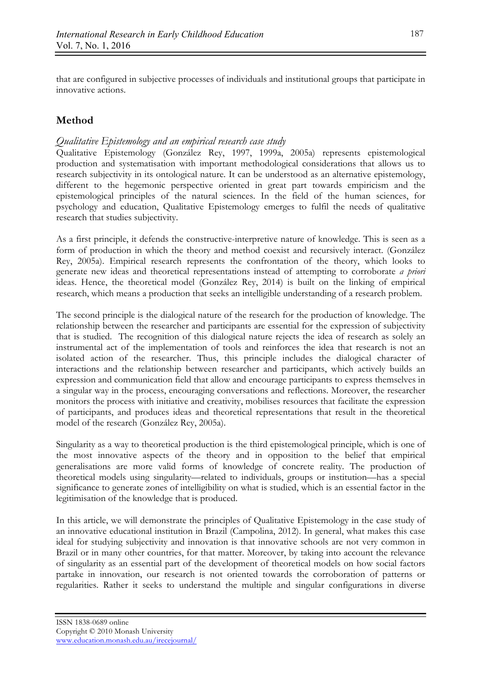that are configured in subjective processes of individuals and institutional groups that participate in innovative actions.

# **Method**

### *Qualitative Epistemology and an empirical research case study*

Qualitative Epistemology (González Rey, 1997, 1999a, 2005a) represents epistemological production and systematisation with important methodological considerations that allows us to research subjectivity in its ontological nature. It can be understood as an alternative epistemology, different to the hegemonic perspective oriented in great part towards empiricism and the epistemological principles of the natural sciences. In the field of the human sciences, for psychology and education, Qualitative Epistemology emerges to fulfil the needs of qualitative research that studies subjectivity.

As a first principle, it defends the constructive-interpretive nature of knowledge. This is seen as a form of production in which the theory and method coexist and recursively interact. (González Rey, 2005a). Empirical research represents the confrontation of the theory, which looks to generate new ideas and theoretical representations instead of attempting to corroborate *a priori* ideas. Hence, the theoretical model (González Rey, 2014) is built on the linking of empirical research, which means a production that seeks an intelligible understanding of a research problem.

The second principle is the dialogical nature of the research for the production of knowledge. The relationship between the researcher and participants are essential for the expression of subjectivity that is studied. The recognition of this dialogical nature rejects the idea of research as solely an instrumental act of the implementation of tools and reinforces the idea that research is not an isolated action of the researcher. Thus, this principle includes the dialogical character of interactions and the relationship between researcher and participants, which actively builds an expression and communication field that allow and encourage participants to express themselves in a singular way in the process, encouraging conversations and reflections. Moreover, the researcher monitors the process with initiative and creativity, mobilises resources that facilitate the expression of participants, and produces ideas and theoretical representations that result in the theoretical model of the research (González Rey, 2005a).

Singularity as a way to theoretical production is the third epistemological principle, which is one of the most innovative aspects of the theory and in opposition to the belief that empirical generalisations are more valid forms of knowledge of concrete reality. The production of theoretical models using singularity—related to individuals, groups or institution—has a special significance to generate zones of intelligibility on what is studied, which is an essential factor in the legitimisation of the knowledge that is produced.

In this article, we will demonstrate the principles of Qualitative Epistemology in the case study of an innovative educational institution in Brazil (Campolina, 2012). In general, what makes this case ideal for studying subjectivity and innovation is that innovative schools are not very common in Brazil or in many other countries, for that matter. Moreover, by taking into account the relevance of singularity as an essential part of the development of theoretical models on how social factors partake in innovation, our research is not oriented towards the corroboration of patterns or regularities. Rather it seeks to understand the multiple and singular configurations in diverse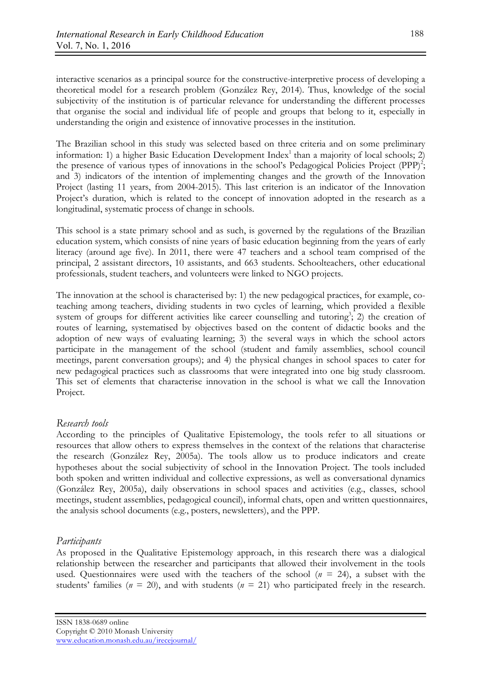interactive scenarios as a principal source for the constructive-interpretive process of developing a theoretical model for a research problem (González Rey, 2014). Thus, knowledge of the social subjectivity of the institution is of particular relevance for understanding the different processes that organise the social and individual life of people and groups that belong to it, especially in understanding the origin and existence of innovative processes in the institution.

The Brazilian school in this study was selected based on three criteria and on some preliminary information: 1) a higher Basic Education Development  $Index<sup>1</sup>$  than a majority of local schools; 2) the presence of various types of innovations in the school's Pedagogical Policies Project (PPP)<sup>2</sup>; and 3) indicators of the intention of implementing changes and the growth of the Innovation Project (lasting 11 years, from 2004-2015). This last criterion is an indicator of the Innovation Project's duration, which is related to the concept of innovation adopted in the research as a longitudinal, systematic process of change in schools.

This school is a state primary school and as such, is governed by the regulations of the Brazilian education system, which consists of nine years of basic education beginning from the years of early literacy (around age five). In 2011, there were 47 teachers and a school team comprised of the principal, 2 assistant directors, 10 assistants, and 663 students. Schoolteachers, other educational professionals, student teachers, and volunteers were linked to NGO projects.

The innovation at the school is characterised by: 1) the new pedagogical practices, for example, coteaching among teachers, dividing students in two cycles of learning, which provided a flexible system of groups for different activities like career counselling and tutoring<sup>3</sup>; 2) the creation of routes of learning, systematised by objectives based on the content of didactic books and the adoption of new ways of evaluating learning; 3) the several ways in which the school actors participate in the management of the school (student and family assemblies, school council meetings, parent conversation groups); and 4) the physical changes in school spaces to cater for new pedagogical practices such as classrooms that were integrated into one big study classroom. This set of elements that characterise innovation in the school is what we call the Innovation Project.

#### *Research tools*

According to the principles of Qualitative Epistemology, the tools refer to all situations or resources that allow others to express themselves in the context of the relations that characterise the research (González Rey, 2005a). The tools allow us to produce indicators and create hypotheses about the social subjectivity of school in the Innovation Project. The tools included both spoken and written individual and collective expressions, as well as conversational dynamics (González Rey, 2005a), daily observations in school spaces and activities (e.g., classes, school meetings, student assemblies, pedagogical council), informal chats, open and written questionnaires, the analysis school documents (e.g., posters, newsletters), and the PPP.

# *Participants*

As proposed in the Qualitative Epistemology approach, in this research there was a dialogical relationship between the researcher and participants that allowed their involvement in the tools used. Questionnaires were used with the teachers of the school  $(n = 24)$ , a subset with the students' families (*n* = 20), and with students (*n* = 21) who participated freely in the research.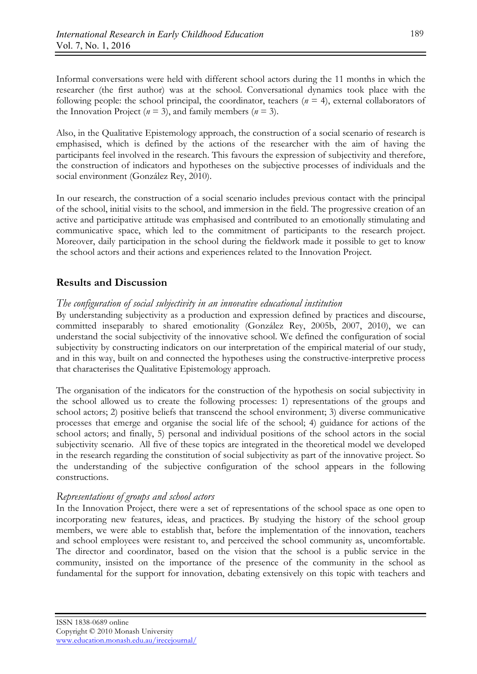189

Informal conversations were held with different school actors during the 11 months in which the researcher (the first author) was at the school. Conversational dynamics took place with the following people: the school principal, the coordinator, teachers  $(n = 4)$ , external collaborators of the Innovation Project ( $n = 3$ ), and family members ( $n = 3$ ).

Also, in the Qualitative Epistemology approach, the construction of a social scenario of research is emphasised, which is defined by the actions of the researcher with the aim of having the participants feel involved in the research. This favours the expression of subjectivity and therefore, the construction of indicators and hypotheses on the subjective processes of individuals and the social environment (González Rey, 2010).

In our research, the construction of a social scenario includes previous contact with the principal of the school, initial visits to the school, and immersion in the field. The progressive creation of an active and participative attitude was emphasised and contributed to an emotionally stimulating and communicative space, which led to the commitment of participants to the research project. Moreover, daily participation in the school during the fieldwork made it possible to get to know the school actors and their actions and experiences related to the Innovation Project.

# **Results and Discussion**

#### *The configuration of social subjectivity in an innovative educational institution*

By understanding subjectivity as a production and expression defined by practices and discourse, committed inseparably to shared emotionality (González Rey, 2005b, 2007, 2010), we can understand the social subjectivity of the innovative school. We defined the configuration of social subjectivity by constructing indicators on our interpretation of the empirical material of our study, and in this way, built on and connected the hypotheses using the constructive-interpretive process that characterises the Qualitative Epistemology approach.

The organisation of the indicators for the construction of the hypothesis on social subjectivity in the school allowed us to create the following processes: 1) representations of the groups and school actors; 2) positive beliefs that transcend the school environment; 3) diverse communicative processes that emerge and organise the social life of the school; 4) guidance for actions of the school actors; and finally, 5) personal and individual positions of the school actors in the social subjectivity scenario. All five of these topics are integrated in the theoretical model we developed in the research regarding the constitution of social subjectivity as part of the innovative project. So the understanding of the subjective configuration of the school appears in the following constructions.

#### *Representations of groups and school actors*

In the Innovation Project, there were a set of representations of the school space as one open to incorporating new features, ideas, and practices. By studying the history of the school group members, we were able to establish that, before the implementation of the innovation, teachers and school employees were resistant to, and perceived the school community as, uncomfortable. The director and coordinator, based on the vision that the school is a public service in the community, insisted on the importance of the presence of the community in the school as fundamental for the support for innovation, debating extensively on this topic with teachers and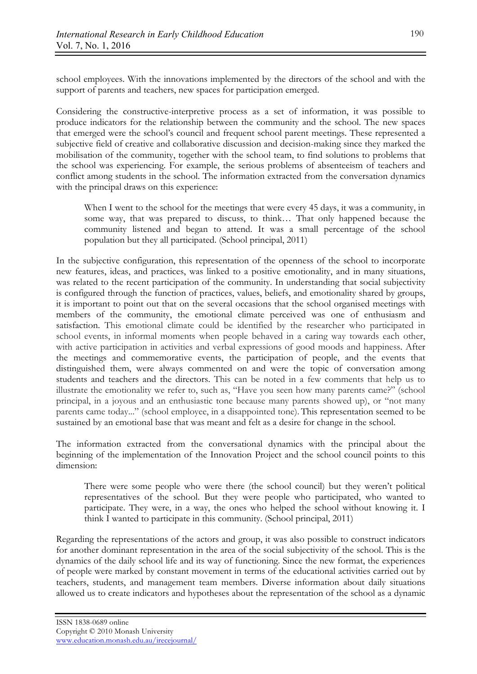school employees. With the innovations implemented by the directors of the school and with the support of parents and teachers, new spaces for participation emerged.

Considering the constructive-interpretive process as a set of information, it was possible to produce indicators for the relationship between the community and the school. The new spaces that emerged were the school's council and frequent school parent meetings. These represented a subjective field of creative and collaborative discussion and decision-making since they marked the mobilisation of the community, together with the school team, to find solutions to problems that the school was experiencing. For example, the serious problems of absenteeism of teachers and conflict among students in the school. The information extracted from the conversation dynamics with the principal draws on this experience:

When I went to the school for the meetings that were every 45 days, it was a community, in some way, that was prepared to discuss, to think… That only happened because the community listened and began to attend. It was a small percentage of the school population but they all participated. (School principal, 2011)

In the subjective configuration, this representation of the openness of the school to incorporate new features, ideas, and practices, was linked to a positive emotionality, and in many situations, was related to the recent participation of the community. In understanding that social subjectivity is configured through the function of practices, values, beliefs, and emotionality shared by groups, it is important to point out that on the several occasions that the school organised meetings with members of the community, the emotional climate perceived was one of enthusiasm and satisfaction. This emotional climate could be identified by the researcher who participated in school events, in informal moments when people behaved in a caring way towards each other, with active participation in activities and verbal expressions of good moods and happiness. After the meetings and commemorative events, the participation of people, and the events that distinguished them, were always commented on and were the topic of conversation among students and teachers and the directors. This can be noted in a few comments that help us to illustrate the emotionality we refer to, such as, "Have you seen how many parents came?" (school principal, in a joyous and an enthusiastic tone because many parents showed up), or "not many parents came today..." (school employee, in a disappointed tone). This representation seemed to be sustained by an emotional base that was meant and felt as a desire for change in the school.

The information extracted from the conversational dynamics with the principal about the beginning of the implementation of the Innovation Project and the school council points to this dimension:

There were some people who were there (the school council) but they weren't political representatives of the school. But they were people who participated, who wanted to participate. They were, in a way, the ones who helped the school without knowing it. I think I wanted to participate in this community. (School principal, 2011)

Regarding the representations of the actors and group, it was also possible to construct indicators for another dominant representation in the area of the social subjectivity of the school. This is the dynamics of the daily school life and its way of functioning. Since the new format, the experiences of people were marked by constant movement in terms of the educational activities carried out by teachers, students, and management team members. Diverse information about daily situations allowed us to create indicators and hypotheses about the representation of the school as a dynamic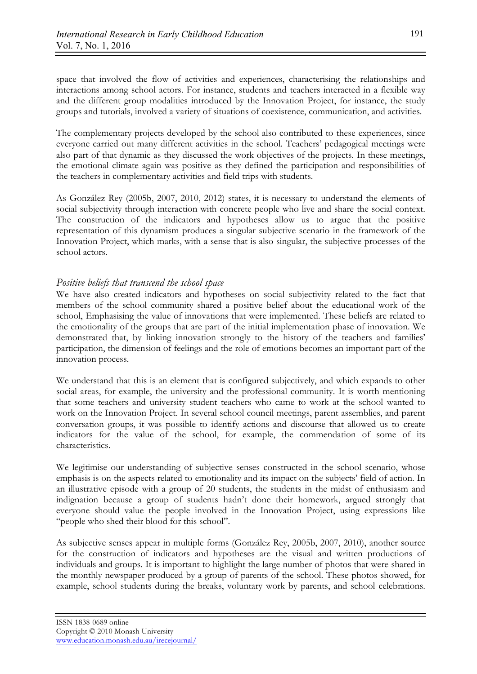space that involved the flow of activities and experiences, characterising the relationships and interactions among school actors. For instance, students and teachers interacted in a flexible way and the different group modalities introduced by the Innovation Project, for instance, the study groups and tutorials, involved a variety of situations of coexistence, communication, and activities.

The complementary projects developed by the school also contributed to these experiences, since everyone carried out many different activities in the school. Teachers' pedagogical meetings were also part of that dynamic as they discussed the work objectives of the projects. In these meetings, the emotional climate again was positive as they defined the participation and responsibilities of the teachers in complementary activities and field trips with students.

As González Rey (2005b, 2007, 2010, 2012) states, it is necessary to understand the elements of social subjectivity through interaction with concrete people who live and share the social context. The construction of the indicators and hypotheses allow us to argue that the positive representation of this dynamism produces a singular subjective scenario in the framework of the Innovation Project, which marks, with a sense that is also singular, the subjective processes of the school actors.

#### *Positive beliefs that transcend the school space*

We have also created indicators and hypotheses on social subjectivity related to the fact that members of the school community shared a positive belief about the educational work of the school, Emphasising the value of innovations that were implemented. These beliefs are related to the emotionality of the groups that are part of the initial implementation phase of innovation. We demonstrated that, by linking innovation strongly to the history of the teachers and families' participation, the dimension of feelings and the role of emotions becomes an important part of the innovation process.

We understand that this is an element that is configured subjectively, and which expands to other social areas, for example, the university and the professional community. It is worth mentioning that some teachers and university student teachers who came to work at the school wanted to work on the Innovation Project. In several school council meetings, parent assemblies, and parent conversation groups, it was possible to identify actions and discourse that allowed us to create indicators for the value of the school, for example, the commendation of some of its characteristics.

We legitimise our understanding of subjective senses constructed in the school scenario, whose emphasis is on the aspects related to emotionality and its impact on the subjects' field of action. In an illustrative episode with a group of 20 students, the students in the midst of enthusiasm and indignation because a group of students hadn't done their homework, argued strongly that everyone should value the people involved in the Innovation Project, using expressions like "people who shed their blood for this school".

As subjective senses appear in multiple forms (González Rey, 2005b, 2007, 2010), another source for the construction of indicators and hypotheses are the visual and written productions of individuals and groups. It is important to highlight the large number of photos that were shared in the monthly newspaper produced by a group of parents of the school. These photos showed, for example, school students during the breaks, voluntary work by parents, and school celebrations.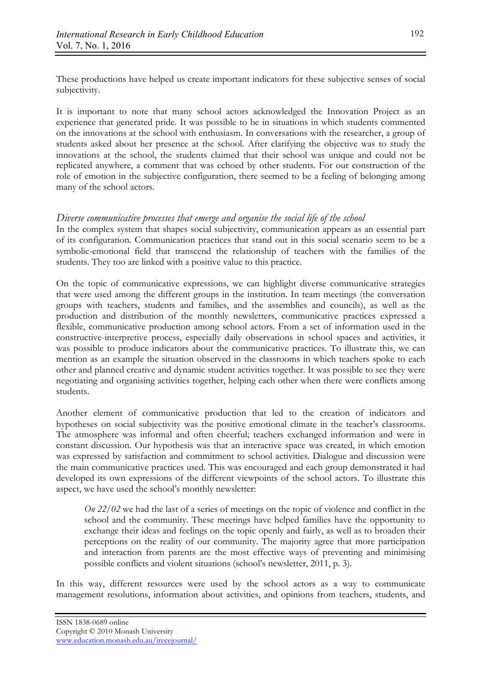These productions have helped us create important indicators for these subjective senses of social subjectivity.

It is important to note that many school actors acknowledged the Innovation Project as an experience that generated pride. It was possible to be in situations in which students commented on the innovations at the school with enthusiasm. In conversations with the researcher, a group of students asked about her presence at the school. After clarifying the objective was to study the innovations at the school, the students claimed that their school was unique and could not be replicated anywhere, a comment that was echoed by other students. For our construction of the role of emotion in the subjective configuration, there seemed to be a feeling of belonging among many of the school actors.

# *Diverse communicative processes that emerge and organise the social life of the school*

In the complex system that shapes social subjectivity, communication appears as an essential part of its configuration. Communication practices that stand out in this social scenario seem to be a symbolic-emotional field that transcend the relationship of teachers with the families of the students. They too are linked with a positive value to this practice.

On the topic of communicative expressions, we can highlight diverse communicative strategies that were used among the different groups in the institution. In team meetings (the conversation groups with teachers, students and families, and the assemblies and councils), as well as the production and distribution of the monthly newsletters, communicative practices expressed a flexible, communicative production among school actors. From a set of information used in the constructive-interpretive process, especially daily observations in school spaces and activities, it was possible to produce indicators about the communicative practices. To illustrate this, we can mention as an example the situation observed in the classrooms in which teachers spoke to each other and planned creative and dynamic student activities together. It was possible to see they were negotiating and organising activities together, helping each other when there were conflicts among students.

Another element of communicative production that led to the creation of indicators and hypotheses on social subjectivity was the positive emotional climate in the teacher's classrooms. The atmosphere was informal and often cheerful; teachers exchanged information and were in constant discussion. Our hypothesis was that an interactive space was created, in which emotion was expressed by satisfaction and commitment to school activities. Dialogue and discussion were the main communicative practices used. This was encouraged and each group demonstrated it had developed its own expressions of the different viewpoints of the school actors. To illustrate this aspect, we have used the school's monthly newsletter:

*On 22/02* we had the last of a series of meetings on the topic of violence and conflict in the school and the community. These meetings have helped families have the opportunity to exchange their ideas and feelings on the topic openly and fairly, as well as to broaden their perceptions on the reality of our community. The majority agree that more participation and interaction from parents are the most effective ways of preventing and minimising possible conflicts and violent situations (school's newsletter, 2011, p. 3).

In this way, different resources were used by the school actors as a way to communicate management resolutions, information about activities, and opinions from teachers, students, and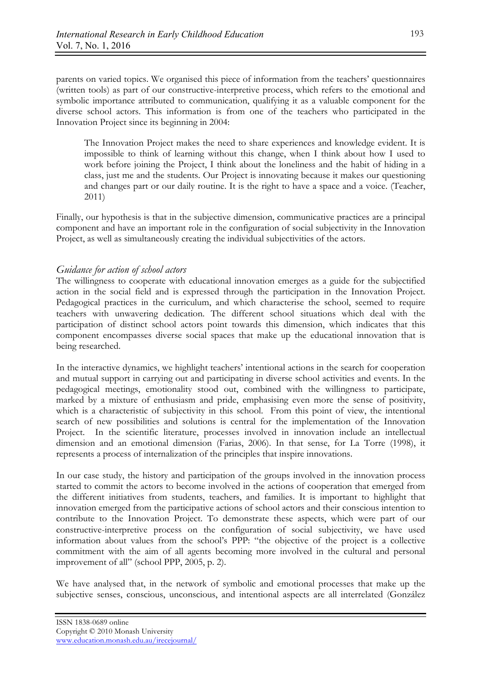parents on varied topics. We organised this piece of information from the teachers' questionnaires (written tools) as part of our constructive-interpretive process, which refers to the emotional and symbolic importance attributed to communication, qualifying it as a valuable component for the diverse school actors. This information is from one of the teachers who participated in the Innovation Project since its beginning in 2004:

The Innovation Project makes the need to share experiences and knowledge evident. It is impossible to think of learning without this change, when I think about how I used to work before joining the Project, I think about the loneliness and the habit of hiding in a class, just me and the students. Our Project is innovating because it makes our questioning and changes part or our daily routine. It is the right to have a space and a voice. (Teacher, 2011)

Finally, our hypothesis is that in the subjective dimension, communicative practices are a principal component and have an important role in the configuration of social subjectivity in the Innovation Project, as well as simultaneously creating the individual subjectivities of the actors.

#### *Guidance for action of school actors*

The willingness to cooperate with educational innovation emerges as a guide for the subjectified action in the social field and is expressed through the participation in the Innovation Project. Pedagogical practices in the curriculum, and which characterise the school, seemed to require teachers with unwavering dedication. The different school situations which deal with the participation of distinct school actors point towards this dimension, which indicates that this component encompasses diverse social spaces that make up the educational innovation that is being researched.

In the interactive dynamics, we highlight teachers' intentional actions in the search for cooperation and mutual support in carrying out and participating in diverse school activities and events. In the pedagogical meetings, emotionality stood out, combined with the willingness to participate, marked by a mixture of enthusiasm and pride, emphasising even more the sense of positivity, which is a characteristic of subjectivity in this school. From this point of view, the intentional search of new possibilities and solutions is central for the implementation of the Innovation Project. In the scientific literature, processes involved in innovation include an intellectual dimension and an emotional dimension (Farias, 2006). In that sense, for La Torre (1998), it represents a process of internalization of the principles that inspire innovations.

In our case study, the history and participation of the groups involved in the innovation process started to commit the actors to become involved in the actions of cooperation that emerged from the different initiatives from students, teachers, and families. It is important to highlight that innovation emerged from the participative actions of school actors and their conscious intention to contribute to the Innovation Project. To demonstrate these aspects, which were part of our constructive-interpretive process on the configuration of social subjectivity, we have used information about values from the school's PPP: "the objective of the project is a collective commitment with the aim of all agents becoming more involved in the cultural and personal improvement of all" (school PPP, 2005, p. 2).

We have analysed that, in the network of symbolic and emotional processes that make up the subjective senses, conscious, unconscious, and intentional aspects are all interrelated (González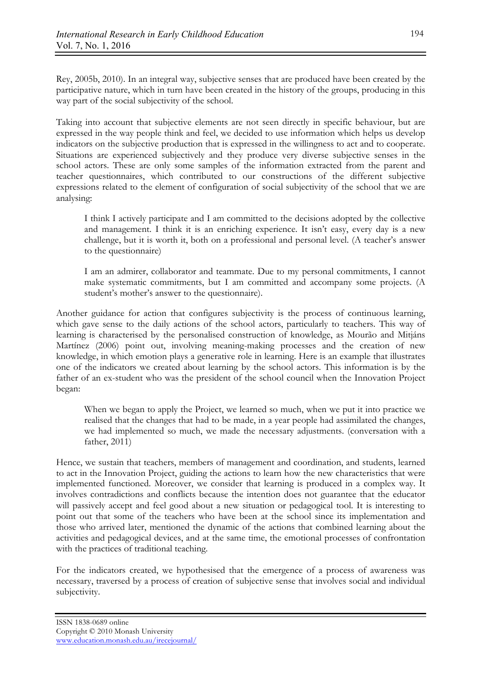Rey, 2005b, 2010). In an integral way, subjective senses that are produced have been created by the participative nature, which in turn have been created in the history of the groups, producing in this way part of the social subjectivity of the school.

Taking into account that subjective elements are not seen directly in specific behaviour, but are expressed in the way people think and feel, we decided to use information which helps us develop indicators on the subjective production that is expressed in the willingness to act and to cooperate. Situations are experienced subjectively and they produce very diverse subjective senses in the school actors. These are only some samples of the information extracted from the parent and teacher questionnaires, which contributed to our constructions of the different subjective expressions related to the element of configuration of social subjectivity of the school that we are analysing:

I think I actively participate and I am committed to the decisions adopted by the collective and management. I think it is an enriching experience. It isn't easy, every day is a new challenge, but it is worth it, both on a professional and personal level. (A teacher's answer to the questionnaire)

I am an admirer, collaborator and teammate. Due to my personal commitments, I cannot make systematic commitments, but I am committed and accompany some projects. (A student's mother's answer to the questionnaire).

Another guidance for action that configures subjectivity is the process of continuous learning, which gave sense to the daily actions of the school actors, particularly to teachers. This way of learning is characterised by the personalised construction of knowledge, as Mourão and Mitjáns Martínez (2006) point out, involving meaning-making processes and the creation of new knowledge, in which emotion plays a generative role in learning. Here is an example that illustrates one of the indicators we created about learning by the school actors. This information is by the father of an ex-student who was the president of the school council when the Innovation Project began:

When we began to apply the Project, we learned so much, when we put it into practice we realised that the changes that had to be made, in a year people had assimilated the changes, we had implemented so much, we made the necessary adjustments. (conversation with a father, 2011)

Hence, we sustain that teachers, members of management and coordination, and students, learned to act in the Innovation Project, guiding the actions to learn how the new characteristics that were implemented functioned. Moreover, we consider that learning is produced in a complex way. It involves contradictions and conflicts because the intention does not guarantee that the educator will passively accept and feel good about a new situation or pedagogical tool. It is interesting to point out that some of the teachers who have been at the school since its implementation and those who arrived later, mentioned the dynamic of the actions that combined learning about the activities and pedagogical devices, and at the same time, the emotional processes of confrontation with the practices of traditional teaching.

For the indicators created, we hypothesised that the emergence of a process of awareness was necessary, traversed by a process of creation of subjective sense that involves social and individual subjectivity.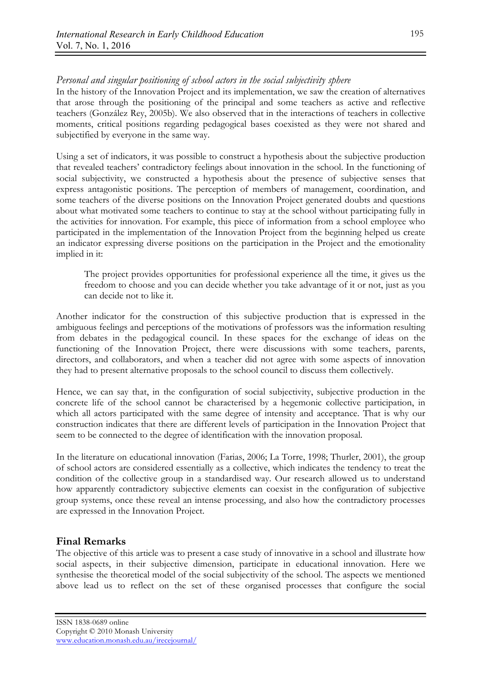# *Personal and singular positioning of school actors in the social subjectivity sphere*

In the history of the Innovation Project and its implementation, we saw the creation of alternatives that arose through the positioning of the principal and some teachers as active and reflective teachers (González Rey, 2005b). We also observed that in the interactions of teachers in collective moments, critical positions regarding pedagogical bases coexisted as they were not shared and subjectified by everyone in the same way.

Using a set of indicators, it was possible to construct a hypothesis about the subjective production that revealed teachers' contradictory feelings about innovation in the school. In the functioning of social subjectivity, we constructed a hypothesis about the presence of subjective senses that express antagonistic positions. The perception of members of management, coordination, and some teachers of the diverse positions on the Innovation Project generated doubts and questions about what motivated some teachers to continue to stay at the school without participating fully in the activities for innovation. For example, this piece of information from a school employee who participated in the implementation of the Innovation Project from the beginning helped us create an indicator expressing diverse positions on the participation in the Project and the emotionality implied in it:

The project provides opportunities for professional experience all the time, it gives us the freedom to choose and you can decide whether you take advantage of it or not, just as you can decide not to like it.

Another indicator for the construction of this subjective production that is expressed in the ambiguous feelings and perceptions of the motivations of professors was the information resulting from debates in the pedagogical council. In these spaces for the exchange of ideas on the functioning of the Innovation Project, there were discussions with some teachers, parents, directors, and collaborators, and when a teacher did not agree with some aspects of innovation they had to present alternative proposals to the school council to discuss them collectively.

Hence, we can say that, in the configuration of social subjectivity, subjective production in the concrete life of the school cannot be characterised by a hegemonic collective participation, in which all actors participated with the same degree of intensity and acceptance. That is why our construction indicates that there are different levels of participation in the Innovation Project that seem to be connected to the degree of identification with the innovation proposal.

In the literature on educational innovation (Farias, 2006; La Torre, 1998; Thurler, 2001), the group of school actors are considered essentially as a collective, which indicates the tendency to treat the condition of the collective group in a standardised way. Our research allowed us to understand how apparently contradictory subjective elements can coexist in the configuration of subjective group systems, once these reveal an intense processing, and also how the contradictory processes are expressed in the Innovation Project.

# **Final Remarks**

The objective of this article was to present a case study of innovative in a school and illustrate how social aspects, in their subjective dimension, participate in educational innovation. Here we synthesise the theoretical model of the social subjectivity of the school. The aspects we mentioned above lead us to reflect on the set of these organised processes that configure the social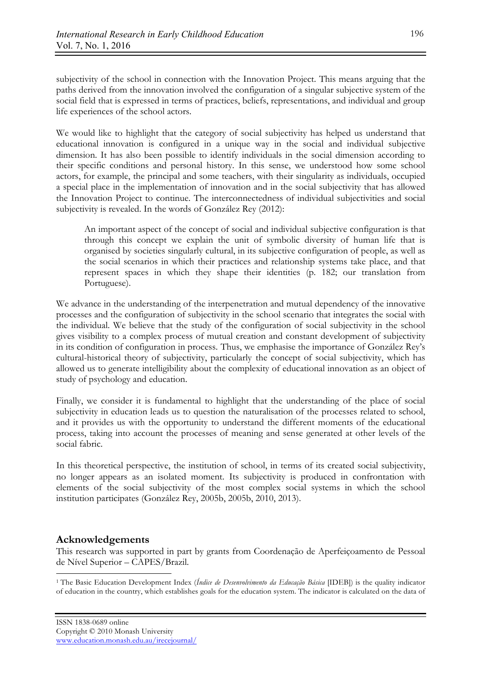subjectivity of the school in connection with the Innovation Project. This means arguing that the paths derived from the innovation involved the configuration of a singular subjective system of the social field that is expressed in terms of practices, beliefs, representations, and individual and group life experiences of the school actors.

We would like to highlight that the category of social subjectivity has helped us understand that educational innovation is configured in a unique way in the social and individual subjective dimension. It has also been possible to identify individuals in the social dimension according to their specific conditions and personal history. In this sense, we understood how some school actors, for example, the principal and some teachers, with their singularity as individuals, occupied a special place in the implementation of innovation and in the social subjectivity that has allowed the Innovation Project to continue. The interconnectedness of individual subjectivities and social subjectivity is revealed. In the words of González Rey (2012):

An important aspect of the concept of social and individual subjective configuration is that through this concept we explain the unit of symbolic diversity of human life that is organised by societies singularly cultural, in its subjective configuration of people, as well as the social scenarios in which their practices and relationship systems take place, and that represent spaces in which they shape their identities (p. 182; our translation from Portuguese).

We advance in the understanding of the interpenetration and mutual dependency of the innovative processes and the configuration of subjectivity in the school scenario that integrates the social with the individual. We believe that the study of the configuration of social subjectivity in the school gives visibility to a complex process of mutual creation and constant development of subjectivity in its condition of configuration in process. Thus, we emphasise the importance of González Rey's cultural-historical theory of subjectivity, particularly the concept of social subjectivity, which has allowed us to generate intelligibility about the complexity of educational innovation as an object of study of psychology and education.

Finally, we consider it is fundamental to highlight that the understanding of the place of social subjectivity in education leads us to question the naturalisation of the processes related to school, and it provides us with the opportunity to understand the different moments of the educational process, taking into account the processes of meaning and sense generated at other levels of the social fabric.

In this theoretical perspective, the institution of school, in terms of its created social subjectivity, no longer appears as an isolated moment. Its subjectivity is produced in confrontation with elements of the social subjectivity of the most complex social systems in which the school institution participates (González Rey, 2005b, 2005b, 2010, 2013).

# **Acknowledgements**

This research was supported in part by grants from Coordenação de Aperfeiçoamento de Pessoal de Nível Superior – CAPES/Brazil.

 <sup>1</sup> The Basic Education Development Index (*Índice de Desenvolvimento da Educação Básica* [IDEB]) is the quality indicator of education in the country, which establishes goals for the education system. The indicator is calculated on the data of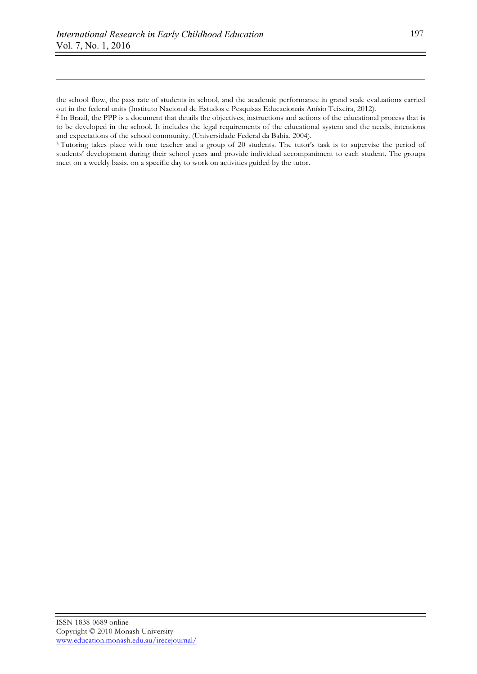<u>.</u>

the school flow, the pass rate of students in school, and the academic performance in grand scale evaluations carried out in the federal units (Instituto Nacional de Estudos e Pesquisas Educacionais Anísio Teixeira, 2012).<br><sup>2</sup> In Brazil, the PPP is a document that details the objectives, instructions and actions of the educational process

<sup>3</sup> Tutoring takes place with one teacher and a group of 20 students. The tutor's task is to supervise the period of students' development during their school years and provide individual accompaniment to each student. The groups meet on a weekly basis, on a specific day to work on activities guided by the tutor.

to be developed in the school. It includes the legal requirements of the educational system and the needs, intentions and expectations of the school community. (Universidade Federal da Bahia, 2004).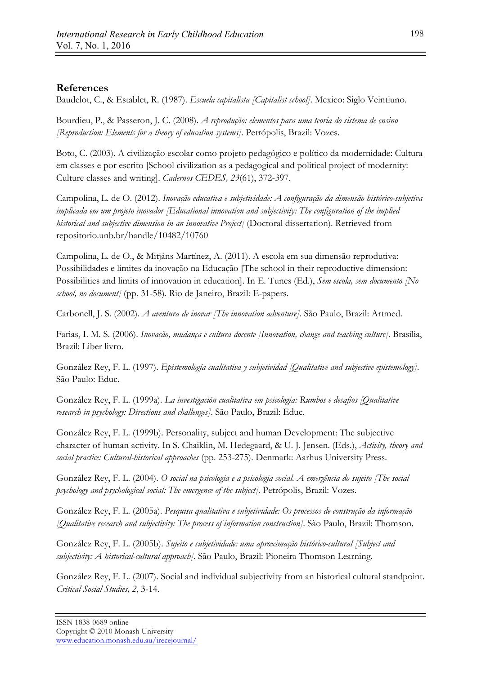# **References**

Baudelot, C., & Establet, R. (1987). *Escuela capitalista [Capitalist school]*. Mexico: Siglo Veintiuno.

Bourdieu, P., & Passeron, J. C. (2008). *A reprodução: elementos para uma teoria do sistema de ensino [Reproduction: Elements for a theory of education systems]*. Petrópolis, Brazil: Vozes.

Boto, C. (2003). A civilização escolar como projeto pedagógico e político da modernidade: Cultura em classes e por escrito [School civilization as a pedagogical and political project of modernity: Culture classes and writing]. *Cadernos CEDES, 23*(61), 372-397.

Campolina, L. de O. (2012). *Inovação educativa e subjetividade: A configuração da dimensão histórico-subjetiva implicada em um projeto inovador [Educational innovation and subjectivity: The configuration of the implied historical and subjective dimension in an innovative Project]* (Doctoral dissertation). Retrieved from repositorio.unb.br/handle/10482/10760

Campolina, L. de O., & Mitjáns Martínez, A. (2011). A escola em sua dimensão reprodutiva: Possibilidades e limites da inovação na Educação [The school in their reproductive dimension: Possibilities and limits of innovation in education]. In E. Tunes (Ed.), *Sem escola, sem documento [No school, no document]* (pp. 31-58). Rio de Janeiro, Brazil: E-papers.

Carbonell, J. S. (2002). *A aventura de inovar [The innovation adventure]*. São Paulo, Brazil: Artmed.

Farias, I. M. S. (2006). *Inovação, mudança e cultura docente [Innovation, change and teaching culture]*. Brasília, Brazil: Liber livro.

González Rey, F. L. (1997). *Epistemología cualitativa y subjetividad [Qualitative and subjective epistemology]*. São Paulo: Educ.

González Rey, F. L. (1999a). *La investigación cualitativa em psicologia: Rumbos e desafíos [Qualitative research in psychology: Directions and challenges]*. São Paulo, Brazil: Educ.

González Rey, F. L. (1999b). Personality, subject and human Development: The subjective character of human activity. In S. Chaiklin, M. Hedegaard, & U. J. Jensen. (Eds.), *Activity, theory and social practice: Cultural-historical approaches* (pp. 253-275). Denmark: Aarhus University Press.

González Rey, F. L. (2004). *O social na psicologia e a psicologia social. A emergência do sujeito [The social psychology and psychological social: The emergence of the subject]*. Petrópolis, Brazil: Vozes.

González Rey, F. L. (2005a). *Pesquisa qualitativa e subjetividade: Os processos de construção da informação [Qualitative research and subjectivity: The process of information construction]*. São Paulo, Brazil: Thomson.

González Rey, F. L. (2005b). *Sujeito e subjetividade: uma aproximação histórico-cultural [Subject and subjectivity: A historical-cultural approach]*. São Paulo, Brazil: Pioneira Thomson Learning.

González Rey, F. L. (2007). Social and individual subjectivity from an historical cultural standpoint. *Critical Social Studies, 2*, 3-14.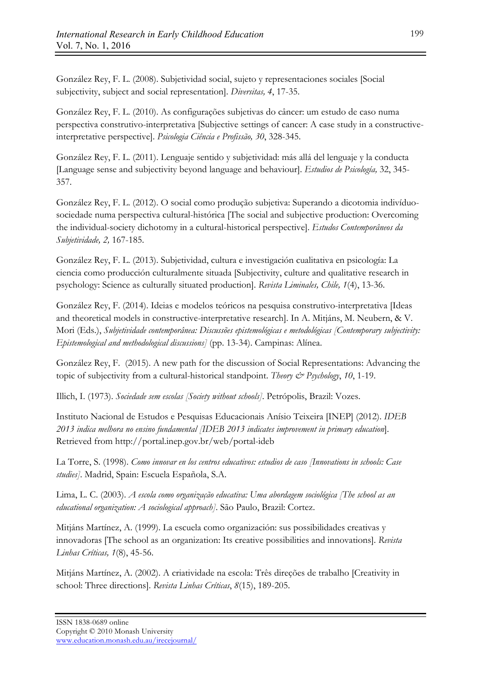González Rey, F. L. (2008). Subjetividad social, sujeto y representaciones sociales [Social subjectivity, subject and social representation]. *Diversitas, 4*, 17-35.

González Rey, F. L. (2010). As configurações subjetivas do câncer: um estudo de caso numa perspectiva construtivo-interpretativa [Subjective settings of cancer: A case study in a constructiveinterpretative perspective]. *Psicologia Ciência e Profissão, 30*, 328-345.

González Rey, F. L. (2011). Lenguaje sentido y subjetividad: más allá del lenguaje y la conducta [Language sense and subjectivity beyond language and behaviour]. *Estudios de Psicología,* 32, 345- 357.

González Rey, F. L. (2012). O social como produção subjetiva: Superando a dicotomia indivíduosociedade numa perspectiva cultural-histórica [The social and subjective production: Overcoming the individual-society dichotomy in a cultural-historical perspective]. *Estudos Contemporâneos da Subjetividade, 2,* 167-185.

González Rey, F. L. (2013). Subjetividad, cultura e investigación cualitativa en psicología: La ciencia como producción culturalmente situada [Subjectivity, culture and qualitative research in psychology: Science as culturally situated production]. *Revista Liminales, Chile, 1*(4), 13-36.

González Rey, F. (2014). Ideias e modelos teóricos na pesquisa construtivo-interpretativa [Ideas and theoretical models in constructive-interpretative research]. In A. Mitjáns, M. Neubern, & V. Mori (Eds.), *Subjetividade contemporânea: Discussões epistemológicas e metodológicas [Contemporary subjectivity: Epistemological and methodological discussions]* (pp. 13-34). Campinas: Alínea.

González Rey, F. (2015). A new path for the discussion of Social Representations: Advancing the topic of subjectivity from a cultural-historical standpoint. *Theory & Psychology*, *10*, 1-19.

Illich, I. (1973). *Sociedade sem escolas [Society without schools]*. Petrópolis, Brazil: Vozes.

Instituto Nacional de Estudos e Pesquisas Educacionais Anísio Teixeira [INEP] (2012). *IDEB 2013 indica melhora no ensino fundamental [IDEB 2013 indicates improvement in primary education*]. Retrieved from http://portal.inep.gov.br/web/portal-ideb

La Torre, S. (1998). *Como innovar en los centros educativos: estudios de caso [Innovations in schools: Case studies]*. Madrid, Spain: Escuela Española, S.A.

Lima, L. C. (2003). *A escola como organização educativa: Uma abordagem sociológica [The school as an educational organization: A sociological approach]*. São Paulo, Brazil: Cortez.

Mitjáns Martínez, A. (1999). La escuela como organización: sus possibilidades creativas y innovadoras [The school as an organization: Its creative possibilities and innovations]. *Revista Linhas Críticas, 1*(8), 45-56.

Mitjáns Martínez, A. (2002). A criatividade na escola: Três direções de trabalho [Creativity in school: Three directions]. *Revista Linhas Críticas*, *8*(15), 189-205.